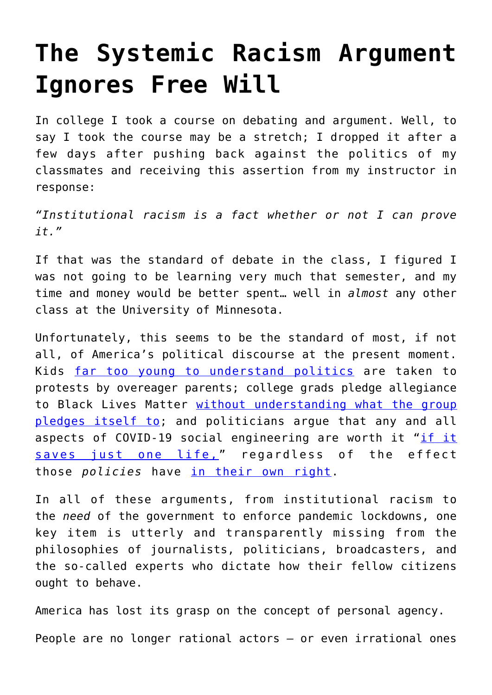## **[The Systemic Racism Argument](https://intellectualtakeout.org/2020/06/the-systemic-racism-argument-ignores-free-will/) [Ignores Free Will](https://intellectualtakeout.org/2020/06/the-systemic-racism-argument-ignores-free-will/)**

In college I took a course on debating and argument. Well, to say I took the course may be a stretch; I dropped it after a few days after pushing back against the politics of my classmates and receiving this assertion from my instructor in response:

*"Institutional racism is a fact whether or not I can prove it."*

If that was the standard of debate in the class, I figured I was not going to be learning very much that semester, and my time and money would be better spent… well in *almost* any other class at the University of Minnesota.

Unfortunately, this seems to be the standard of most, if not all, of America's political discourse at the present moment. Kids [far too young to understand politics](https://www.intellectualtakeout.org/kids-have-no-place-at-protests/) are taken to protests by overeager parents; college grads pledge allegiance to Black Lives Matter [without understanding what the group](https://www.intellectualtakeout.org/behind-the-masks-marxism-and-black-lives-matter/) [pledges itself to;](https://www.intellectualtakeout.org/behind-the-masks-marxism-and-black-lives-matter/) and politicians argue that any and all aspects of COVID-19 social engineering are worth it "[if it](https://isi.org/intercollegiate-review/if-it-saves-just-one-life-fallacy/) [saves just one life,](https://isi.org/intercollegiate-review/if-it-saves-just-one-life-fallacy/)" regardless of the effect those *policies* have [in their own right](https://www.usnews.com/news/healthiest-communities/articles/2020-05-22/experts-warn-of-a-surge-of-suicides-tied-to-the-coronavirus-pandemic).

In all of these arguments, from institutional racism to the *need* of the government to enforce pandemic lockdowns, one key item is utterly and transparently missing from the philosophies of journalists, politicians, broadcasters, and the so-called experts who dictate how their fellow citizens ought to behave.

America has lost its grasp on the concept of personal agency. People are no longer rational actors – or even irrational ones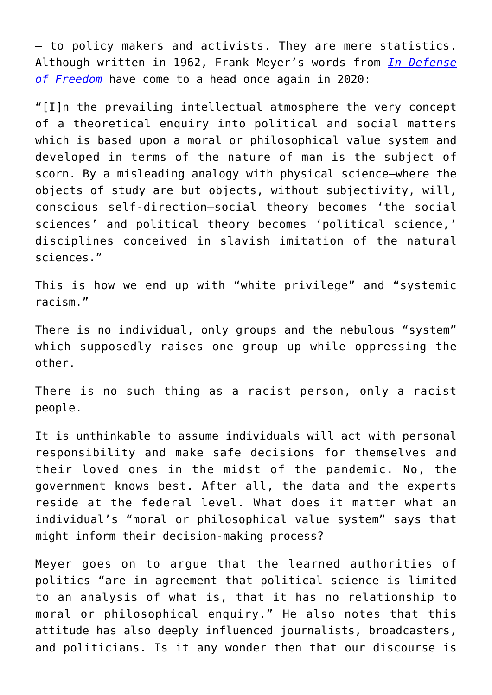– to policy makers and activists. They are mere statistics. Although written in 1962, Frank Meyer's words from *[In Defense](https://www.amazon.com/gp/product/0865971404/ref=as_li_qf_asin_il_tl?ie=UTF8&tag=intelltakeo0d-20&creative=9325&linkCode=as2&creativeASIN=0865971404&linkId=c8e361bd692c3cd911742c83d4ce95bc) [of Freedom](https://www.amazon.com/gp/product/0865971404/ref=as_li_qf_asin_il_tl?ie=UTF8&tag=intelltakeo0d-20&creative=9325&linkCode=as2&creativeASIN=0865971404&linkId=c8e361bd692c3cd911742c83d4ce95bc)* have come to a head once again in 2020:

"[I]n the prevailing intellectual atmosphere the very concept of a theoretical enquiry into political and social matters which is based upon a moral or philosophical value system and developed in terms of the nature of man is the subject of scorn. By a misleading analogy with physical science—where the objects of study are but objects, without subjectivity, will, conscious self-direction—social theory becomes 'the social sciences' and political theory becomes 'political science,' disciplines conceived in slavish imitation of the natural sciences."

This is how we end up with "white privilege" and "systemic racism."

There is no individual, only groups and the nebulous "system" which supposedly raises one group up while oppressing the other.

There is no such thing as a racist person, only a racist people.

It is unthinkable to assume individuals will act with personal responsibility and make safe decisions for themselves and their loved ones in the midst of the pandemic. No, the government knows best. After all, the data and the experts reside at the federal level. What does it matter what an individual's "moral or philosophical value system" says that might inform their decision-making process?

Meyer goes on to argue that the learned authorities of politics "are in agreement that political science is limited to an analysis of what is, that it has no relationship to moral or philosophical enquiry." He also notes that this attitude has also deeply influenced journalists, broadcasters, and politicians. Is it any wonder then that our discourse is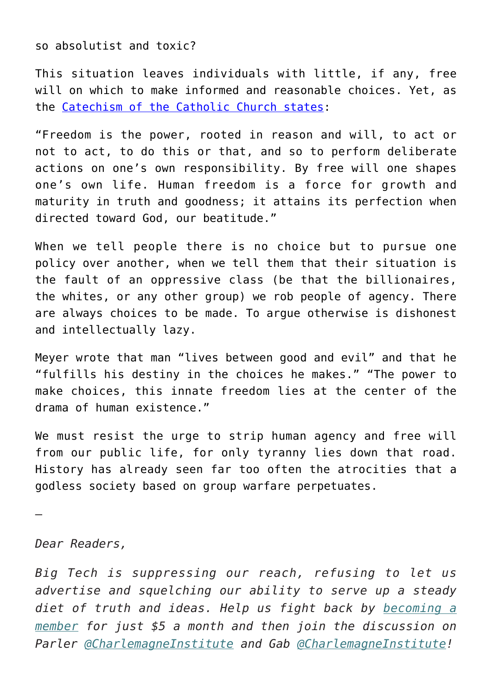so absolutist and toxic?

This situation leaves individuals with little, if any, free will on which to make informed and reasonable choices. Yet, as the [Catechism of the Catholic Church states:](https://www.legal-tools.org/doc/e3806e/pdf/#:~:text=1731%20Freedom%20is%20the%20power,one%20shapes%20one)

"Freedom is the power, rooted in reason and will, to act or not to act, to do this or that, and so to perform deliberate actions on one's own responsibility. By free will one shapes one's own life. Human freedom is a force for growth and maturity in truth and goodness; it attains its perfection when directed toward God, our beatitude."

When we tell people there is no choice but to pursue one policy over another, when we tell them that their situation is the fault of an oppressive class (be that the billionaires, the whites, or any other group) we rob people of agency. There are always choices to be made. To argue otherwise is dishonest and intellectually lazy.

Meyer wrote that man "lives between good and evil" and that he "fulfills his destiny in the choices he makes." "The power to make choices, this innate freedom lies at the center of the drama of human existence."

We must resist the urge to strip human agency and free will from our public life, for only tyranny lies down that road. History has already seen far too often the atrocities that a godless society based on group warfare perpetuates.

—

## *Dear Readers,*

*Big Tech is suppressing our reach, refusing to let us advertise and squelching our ability to serve up a steady diet of truth and ideas. Help us fight back by [becoming a](https://www.chroniclesmagazine.org/subscribe/) [member](https://www.chroniclesmagazine.org/subscribe/) for just \$5 a month and then join the discussion on Parler [@CharlemagneInstitute](https://parler.com/#/user/CharlemagneInstitute) and Gab [@CharlemagneInstitute](https://gab.com/CharlemagneInstitute)!*